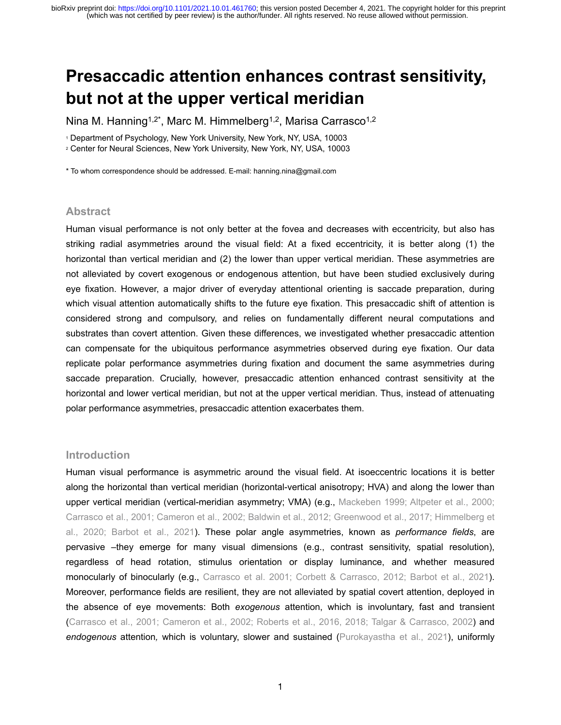# **Presaccadic attention enhances contrast sensitivity, but not at the upper vertical meridian**

Nina M. Hanning<sup>1,2\*</sup>, Marc M. Himmelberg<sup>1,2</sup>, Marisa Carrasco<sup>1,2</sup>

1 Department of Psychology, New York University, New York, NY, USA, 10003

2 Center for Neural Sciences, New York University, New York, NY, USA, 10003

\* To whom correspondence should be addressed. E-mail: hanning.nina@gmail.com

### **Abstract**

Human visual performance is not only better at the fovea and decreases with eccentricity, but also has striking radial asymmetries around the visual field: At a fixed eccentricity, it is better along (1) the horizontal than vertical meridian and (2) the lower than upper vertical meridian. These asymmetries are not alleviated by covert exogenous or endogenous attention, but have been studied exclusively during eye fixation. However, a major driver of everyday attentional orienting is saccade preparation, during which visual attention automatically shifts to the future eye fixation. This presaccadic shift of attention is considered strong and compulsory, and relies on fundamentally different neural computations and substrates than covert attention. Given these differences, we investigated whether presaccadic attention can compensate for the ubiquitous performance asymmetries observed during eye fixation. Our data replicate polar performance asymmetries during fixation and document the same asymmetries during saccade preparation. Crucially, however, presaccadic attention enhanced contrast sensitivity at the horizontal and lower vertical meridian, but not at the upper vertical meridian. Thus, instead of attenuating polar performance asymmetries, presaccadic attention exacerbates them.

#### **Introduction**

Human visual performance is asymmetric around the visual field. At isoeccentric locations it is better along the horizontal than vertical meridian (horizontal-vertical anisotropy; HVA) and along the lower than upper vertical meridian (vertical-meridian asymmetry; VMA) (e.g., Mackeben 1999; Altpeter et al., 2000; Carrasco et al., 2001; Cameron et al., 2002; Baldwin et al., 2012; Greenwood et al., 2017; Himmelberg et al., 2020; Barbot et al., 2021). These polar angle asymmetries, known as *performance fields*, are pervasive –they emerge for many visual dimensions (e.g., contrast sensitivity, spatial resolution), regardless of head rotation, stimulus orientation or display luminance, and whether measured monocularly of binocularly (e.g., Carrasco et al. 2001; Corbett & Carrasco, 2012; Barbot et al., 2021). Moreover, performance fields are resilient, they are not alleviated by spatial covert attention, deployed in the absence of eye movements: Both *exogenous* attention, which is involuntary, fast and transient (Carrasco et al., 2001; Cameron et al., 2002; Roberts et al., 2016, 2018; Talgar & Carrasco, 2002) and *endogenous* attention*,* which is voluntary, slower and sustained (Purokayastha et al., 2021), uniformly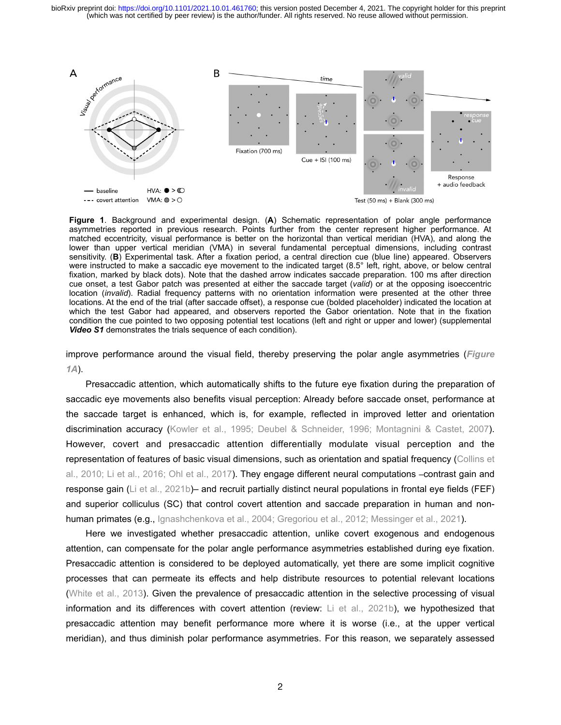(which was not certified by peer review) is the author/funder. All rights reserved. No reuse allowed without permission. bioRxiv preprint doi: [https://doi.org/10.1101/2021.10.01.461760;](https://doi.org/10.1101/2021.10.01.461760) this version posted December 4, 2021. The copyright holder for this preprint



**Figure 1**. Background and experimental design. (**A**) Schematic representation of polar angle performance asymmetries reported in previous research. Points further from the center represent higher performance. At matched eccentricity, visual performance is better on the horizontal than vertical meridian (HVA), and along the lower than upper vertical meridian (VMA) in several fundamental perceptual dimensions, including contrast sensitivity. (**B**) Experimental task. After a fixation period, a central direction cue (blue line) appeared. Observers were instructed to make a saccadic eye movement to the indicated target (8.5° left, right, above, or below central fixation, marked by black dots). Note that the dashed arrow indicates saccade preparation. 100 ms after direction cue onset, a test Gabor patch was presented at either the saccade target (*valid*) or at the opposing isoeccentric location (*invalid*). Radial frequency patterns with no orientation information were presented at the other three locations. At the end of the trial (after saccade offset), a response cue (bolded placeholder) indicated the location at which the test Gabor had appeared, and observers reported the Gabor orientation. Note that in the fixation condition the cue pointed to two opposing potential test locations (left and right or upper and lower) (supplemental *Video S1* demonstrates the trials sequence of each condition).

improve performance around the visual field, thereby preserving the polar angle asymmetries (*Figure 1A*).

Presaccadic attention, which automatically shifts to the future eye fixation during the preparation of saccadic eye movements also benefits visual perception: Already before saccade onset, performance at the saccade target is enhanced, which is, for example, reflected in improved letter and orientation discrimination accuracy (Kowler et al., 1995; Deubel & Schneider, 1996; Montagnini & Castet, 2007). However, covert and presaccadic attention differentially modulate visual perception and the representation of features of basic visual dimensions, such as orientation and spatial frequency (Collins et al., 2010; Li et al., 2016; Ohl et al., 2017). They engage different neural computations –contrast gain and response gain (Li et al., 2021b)– and recruit partially distinct neural populations in frontal eye fields (FEF) and superior colliculus (SC) that control covert attention and saccade preparation in human and nonhuman primates (e.g., Ignashchenkova et al., 2004; Gregoriou et al., 2012; Messinger et al., 2021).

Here we investigated whether presaccadic attention, unlike covert exogenous and endogenous attention, can compensate for the polar angle performance asymmetries established during eye fixation. Presaccadic attention is considered to be deployed automatically, yet there are some implicit cognitive processes that can permeate its effects and help distribute resources to potential relevant locations (White et al., 2013). Given the prevalence of presaccadic attention in the selective processing of visual information and its differences with covert attention (review: Li et al., 2021b), we hypothesized that presaccadic attention may benefit performance more where it is worse (i.e., at the upper vertical meridian), and thus diminish polar performance asymmetries. For this reason, we separately assessed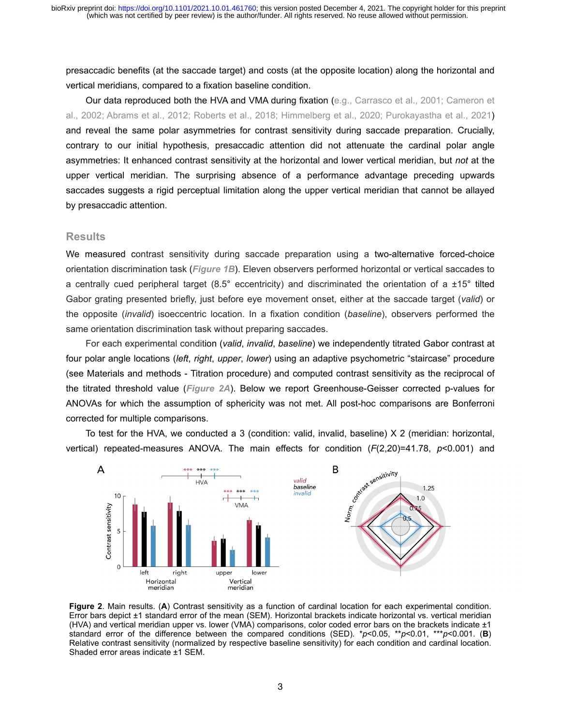presaccadic benefits (at the saccade target) and costs (at the opposite location) along the horizontal and vertical meridians, compared to a fixation baseline condition.

Our data reproduced both the HVA and VMA during fixation (e.g., Carrasco et al., 2001; Cameron et al., 2002; Abrams et al., 2012; Roberts et al., 2018; Himmelberg et al., 2020; Purokayastha et al., 2021) and reveal the same polar asymmetries for contrast sensitivity during saccade preparation. Crucially, contrary to our initial hypothesis, presaccadic attention did not attenuate the cardinal polar angle asymmetries: It enhanced contrast sensitivity at the horizontal and lower vertical meridian, but *not* at the upper vertical meridian. The surprising absence of a performance advantage preceding upwards saccades suggests a rigid perceptual limitation along the upper vertical meridian that cannot be allayed by presaccadic attention.

#### **Results**

We measured contrast sensitivity during saccade preparation using a two-alternative forced-choice orientation discrimination task (*Figure 1B*). Eleven observers performed horizontal or vertical saccades to a centrally cued peripheral target (8.5° eccentricity) and discriminated the orientation of a  $\pm 15^\circ$  tilted Gabor grating presented briefly, just before eye movement onset, either at the saccade target (*valid*) or the opposite (*invalid*) isoeccentric location. In a fixation condition (*baseline*), observers performed the same orientation discrimination task without preparing saccades.

For each experimental condition (*valid*, *invalid*, *baseline*) we independently titrated Gabor contrast at four polar angle locations (*left*, *right*, *upper*, *lower*) using an adaptive psychometric "staircase" procedure (see Materials and methods - Titration procedure) and computed contrast sensitivity as the reciprocal of the titrated threshold value (*Figure 2A*). Below we report Greenhouse-Geisser corrected p-values for ANOVAs for which the assumption of sphericity was not met. All post-hoc comparisons are Bonferroni corrected for multiple comparisons.

To test for the HVA, we conducted a 3 (condition: valid, invalid, baseline) X 2 (meridian: horizontal,



**Figure 2**. Main results. (**A**) Contrast sensitivity as a function of cardinal location for each experimental condition. Error bars depict ±1 standard error of the mean (SEM). Horizontal brackets indicate horizontal vs. vertical meridian (HVA) and vertical meridian upper vs. lower (VMA) comparisons, color coded error bars on the brackets indicate ±1 standard error of the difference between the compared conditions (SED). \**p*<0.05, \*\**p*<0.01, \*\*\**p*<0.001. (**B**) Relative contrast sensitivity (normalized by respective baseline sensitivity) for each condition and cardinal location. Shaded error areas indicate ±1 SEM.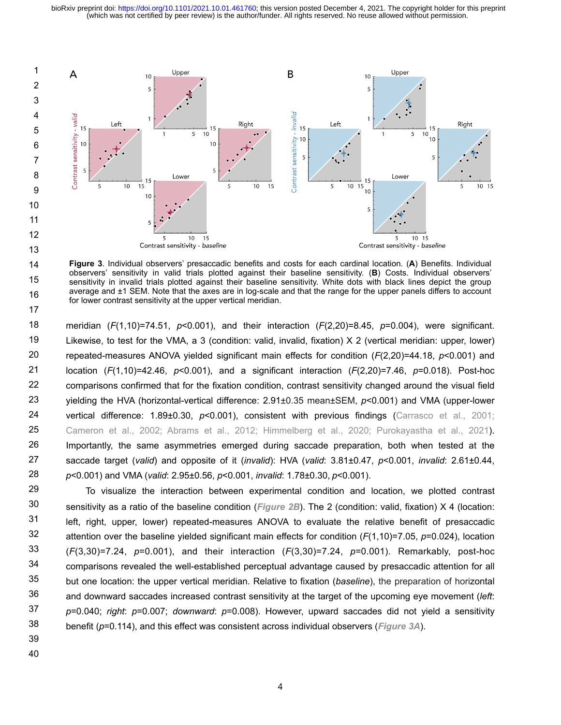

14 15 16 17 **Figure 3**. Individual observers' presaccadic benefits and costs for each cardinal location. (**A**) Benefits. Individual observers' sensitivity in valid trials plotted against their baseline sensitivity. (**B**) Costs. Individual observers' sensitivity in invalid trials plotted against their baseline sensitivity. White dots with black lines depict the group average and ±1 SEM. Note that the axes are in log-scale and that the range for the upper panels differs to account for lower contrast sensitivity at the upper vertical meridian.

meridian (*F*(1,10)=74.51, *p*<0.001), and their interaction (*F*(2,20)=8.45, *p*=0.004), were significant. Likewise, to test for the VMA, a 3 (condition: valid, invalid, fixation) X 2 (vertical meridian: upper, lower) repeated-measures ANOVA yielded significant main effects for condition (*F*(2,20)=44.18, *p*<0.001) and location (*F*(1,10)=42.46, *p*<0.001), and a significant interaction (*F*(2,20)=7.46, *p*=0.018). Post-hoc comparisons confirmed that for the fixation condition, contrast sensitivity changed around the visual field yielding the HVA (horizontal-vertical difference: 2.91±0.35 mean±SEM, *p*<0.001) and VMA (upper-lower vertical difference: 1.89±0.30, *p*<0.001), consistent with previous findings (Carrasco et al., 2001; Cameron et al., 2002; Abrams et al., 2012; Himmelberg et al., 2020; Purokayastha et al., 2021). Importantly, the same asymmetries emerged during saccade preparation, both when tested at the saccade target (*valid*) and opposite of it (*invalid*): HVA (*valid*: 3.81±0.47, *p*<0.001, *invalid*: 2.61±0.44, *p*<0.001) and VMA (*valid*: 2.95±0.56, *p*<0.001, *invalid*: 1.78±0.30, *p*<0.001). 18 19 20 21 22 23 24 25 26 27 28

To visualize the interaction between experimental condition and location, we plotted contrast sensitivity as a ratio of the baseline condition (*Figure 2B*). The 2 (condition: valid, fixation) X 4 (location: left, right, upper, lower) repeated-measures ANOVA to evaluate the relative benefit of presaccadic attention over the baseline yielded significant main effects for condition (*F*(1,10)=7.05, *p*=0.024), location (*F*(3,30)=7.24, *p*=0.001), and their interaction (*F*(3,30)=7.24, *p*=0.001). Remarkably, post-hoc comparisons revealed the well-established perceptual advantage caused by presaccadic attention for all but one location: the upper vertical meridian. Relative to fixation (*baseline*), the preparation of horizontal and downward saccades increased contrast sensitivity at the target of the upcoming eye movement (*left*: *p*=0.040; *right*: *p*=0.007; *downward*: *p*=0.008). However, upward saccades did not yield a sensitivity benefit (*p*=0.114), and this effect was consistent across individual observers (*Figure 3A*). 29 30 31 32 33 34 35 36 37 38

39 40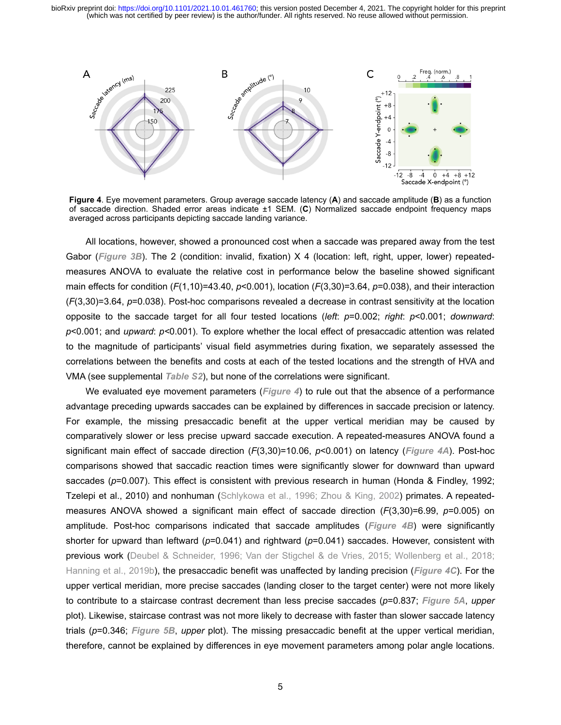

**Figure 4**. Eye movement parameters. Group average saccade latency (**A**) and saccade amplitude (**B**) as a function of saccade direction. Shaded error areas indicate ±1 SEM. (**C**) Normalized saccade endpoint frequency maps averaged across participants depicting saccade landing variance.

All locations, however, showed a pronounced cost when a saccade was prepared away from the test Gabor (*Figure 3B*). The 2 (condition: invalid, fixation) X 4 (location: left, right, upper, lower) repeatedmeasures ANOVA to evaluate the relative cost in performance below the baseline showed significant main effects for condition (*F*(1,10)=43.40, *p*<0.001), location (*F*(3,30)=3.64, *p*=0.038), and their interaction (*F*(3,30)=3.64, *p*=0.038). Post-hoc comparisons revealed a decrease in contrast sensitivity at the location opposite to the saccade target for all four tested locations (*left*: *p*=0.002; *right*: *p*<0.001; *downward*: *p*<0.001; and *upward*: *p<*0.001). To explore whether the local effect of presaccadic attention was related to the magnitude of participants' visual field asymmetries during fixation, we separately assessed the correlations between the benefits and costs at each of the tested locations and the strength of HVA and VMA (see supplemental *Table S2*), but none of the correlations were significant.

We evaluated eye movement parameters (*Figure 4*) to rule out that the absence of a performance advantage preceding upwards saccades can be explained by differences in saccade precision or latency. For example, the missing presaccadic benefit at the upper vertical meridian may be caused by comparatively slower or less precise upward saccade execution. A repeated-measures ANOVA found a significant main effect of saccade direction (*F*(3,30)=10.06, *p*<0.001) on latency (*Figure 4A*). Post-hoc comparisons showed that saccadic reaction times were significantly slower for downward than upward saccades (*p*=0.007). This effect is consistent with previous research in human (Honda & Findley, 1992; Tzelepi et al., 2010) and nonhuman (Schlykowa et al., 1996; Zhou & King, 2002) primates. A repeatedmeasures ANOVA showed a significant main effect of saccade direction (*F*(3,30)=6.99, *p*=0.005) on amplitude. Post-hoc comparisons indicated that saccade amplitudes (*Figure 4B*) were significantly shorter for upward than leftward ( $p=0.041$ ) and rightward ( $p=0.041$ ) saccades. However, consistent with previous work (Deubel & Schneider, 1996; Van der Stigchel & de Vries, 2015; Wollenberg et al., 2018; Hanning et al., 2019b), the presaccadic benefit was unaffected by landing precision (*Figure 4C*). For the upper vertical meridian, more precise saccades (landing closer to the target center) were not more likely to contribute to a staircase contrast decrement than less precise saccades (*p*=0.837; *Figure 5A*, *upper* plot). Likewise, staircase contrast was not more likely to decrease with faster than slower saccade latency trials (*p*=0.346; *Figure 5B*, *upper* plot). The missing presaccadic benefit at the upper vertical meridian, therefore, cannot be explained by differences in eye movement parameters among polar angle locations.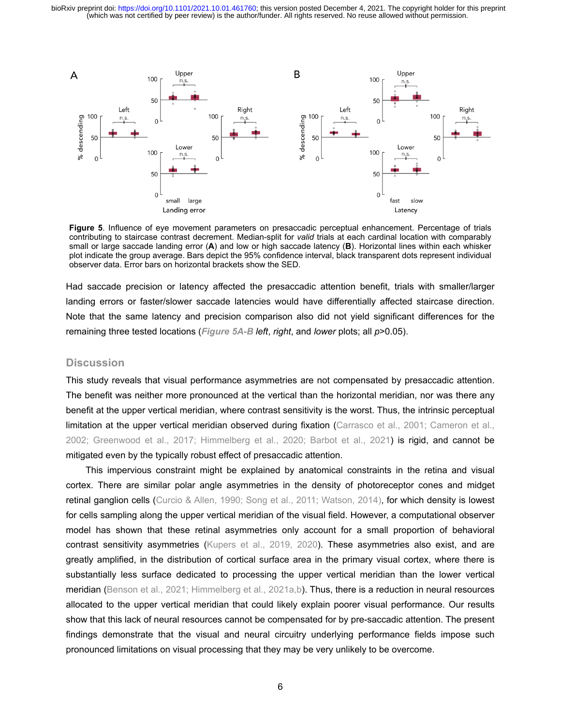

**Figure 5**. Influence of eye movement parameters on presaccadic perceptual enhancement. Percentage of trials contributing to staircase contrast decrement. Median-split for *valid* trials at each cardinal location with comparably small or large saccade landing error (**A**) and low or high saccade latency (**B**). Horizontal lines within each whisker plot indicate the group average. Bars depict the 95% confidence interval, black transparent dots represent individual observer data. Error bars on horizontal brackets show the SED.

Had saccade precision or latency affected the presaccadic attention benefit, trials with smaller/larger landing errors or faster/slower saccade latencies would have differentially affected staircase direction. Note that the same latency and precision comparison also did not yield significant differences for the remaining three tested locations (*Figure 5A-B left*, *right*, and *lower* plots; all *p*>0.05).

## **Discussion**

This study reveals that visual performance asymmetries are not compensated by presaccadic attention. The benefit was neither more pronounced at the vertical than the horizontal meridian, nor was there any benefit at the upper vertical meridian, where contrast sensitivity is the worst. Thus, the intrinsic perceptual limitation at the upper vertical meridian observed during fixation (Carrasco et al., 2001; Cameron et al., 2002; Greenwood et al., 2017; Himmelberg et al., 2020; Barbot et al., 2021) is rigid, and cannot be mitigated even by the typically robust effect of presaccadic attention.

This impervious constraint might be explained by anatomical constraints in the retina and visual cortex. There are similar polar angle asymmetries in the density of photoreceptor cones and midget retinal ganglion cells (Curcio & Allen, 1990; Song et al., 2011; Watson, 2014), for which density is lowest for cells sampling along the upper vertical meridian of the visual field. However, a computational observer model has shown that these retinal asymmetries only account for a small proportion of behavioral contrast sensitivity asymmetries (Kupers et al., 2019, 2020). These asymmetries also exist, and are greatly amplified, in the distribution of cortical surface area in the primary visual cortex, where there is substantially less surface dedicated to processing the upper vertical meridian than the lower vertical meridian (Benson et al., 2021; Himmelberg et al., 2021a,b). Thus, there is a reduction in neural resources allocated to the upper vertical meridian that could likely explain poorer visual performance. Our results show that this lack of neural resources cannot be compensated for by pre-saccadic attention. The present findings demonstrate that the visual and neural circuitry underlying performance fields impose such pronounced limitations on visual processing that they may be very unlikely to be overcome.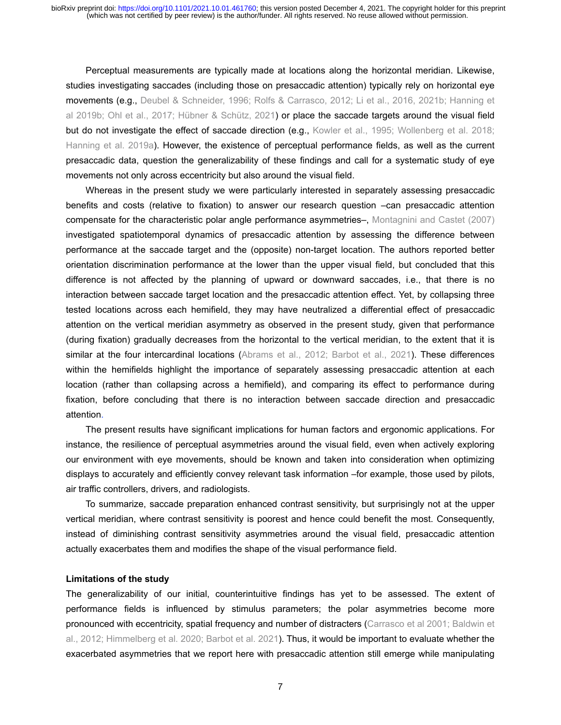Perceptual measurements are typically made at locations along the horizontal meridian. Likewise, studies investigating saccades (including those on presaccadic attention) typically rely on horizontal eye movements (e.g., Deubel & Schneider, 1996; Rolfs & Carrasco, 2012; Li et al., 2016, 2021b; Hanning et al 2019b; Ohl et al., 2017; Hübner & Schütz, 2021) or place the saccade targets around the visual field but do not investigate the effect of saccade direction (e.g., Kowler et al., 1995; Wollenberg et al. 2018; Hanning et al. 2019a). However, the existence of perceptual performance fields, as well as the current presaccadic data, question the generalizability of these findings and call for a systematic study of eye movements not only across eccentricity but also around the visual field.

Whereas in the present study we were particularly interested in separately assessing presaccadic benefits and costs (relative to fixation) to answer our research question –can presaccadic attention compensate for the characteristic polar angle performance asymmetries–, Montagnini and Castet (2007) investigated spatiotemporal dynamics of presaccadic attention by assessing the difference between performance at the saccade target and the (opposite) non-target location. The authors reported better orientation discrimination performance at the lower than the upper visual field, but concluded that this difference is not affected by the planning of upward or downward saccades, i.e., that there is no interaction between saccade target location and the presaccadic attention effect. Yet, by collapsing three tested locations across each hemifield, they may have neutralized a differential effect of presaccadic attention on the vertical meridian asymmetry as observed in the present study, given that performance (during fixation) gradually decreases from the horizontal to the vertical meridian, to the extent that it is similar at the four intercardinal locations (Abrams et al., 2012; Barbot et al., 2021). These differences within the hemifields highlight the importance of separately assessing presaccadic attention at each location (rather than collapsing across a hemifield), and comparing its effect to performance during fixation, before concluding that there is no interaction between saccade direction and presaccadic attention.

The present results have significant implications for human factors and ergonomic applications. For instance, the resilience of perceptual asymmetries around the visual field, even when actively exploring our environment with eye movements, should be known and taken into consideration when optimizing displays to accurately and efficiently convey relevant task information –for example, those used by pilots, air traffic controllers, drivers, and radiologists.

To summarize, saccade preparation enhanced contrast sensitivity, but surprisingly not at the upper vertical meridian, where contrast sensitivity is poorest and hence could benefit the most. Consequently, instead of diminishing contrast sensitivity asymmetries around the visual field, presaccadic attention actually exacerbates them and modifies the shape of the visual performance field.

#### **Limitations of the study**

The generalizability of our initial, counterintuitive findings has yet to be assessed. The extent of performance fields is influenced by stimulus parameters; the polar asymmetries become more pronounced with eccentricity, spatial frequency and number of distracters (Carrasco et al 2001; Baldwin et al., 2012; Himmelberg et al. 2020; Barbot et al. 2021). Thus, it would be important to evaluate whether the exacerbated asymmetries that we report here with presaccadic attention still emerge while manipulating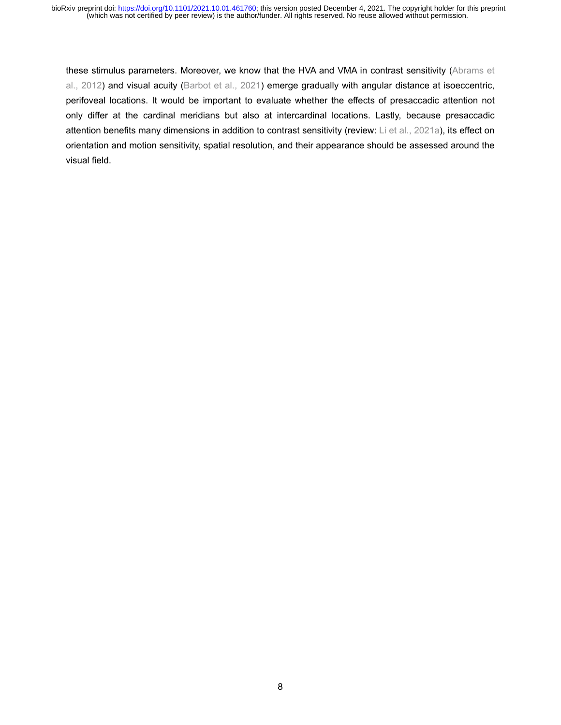these stimulus parameters. Moreover, we know that the HVA and VMA in contrast sensitivity (Abrams et al., 2012) and visual acuity (Barbot et al., 2021) emerge gradually with angular distance at isoeccentric, perifoveal locations. It would be important to evaluate whether the effects of presaccadic attention not only differ at the cardinal meridians but also at intercardinal locations. Lastly, because presaccadic attention benefits many dimensions in addition to contrast sensitivity (review: Li et al., 2021a), its effect on orientation and motion sensitivity, spatial resolution, and their appearance should be assessed around the visual field.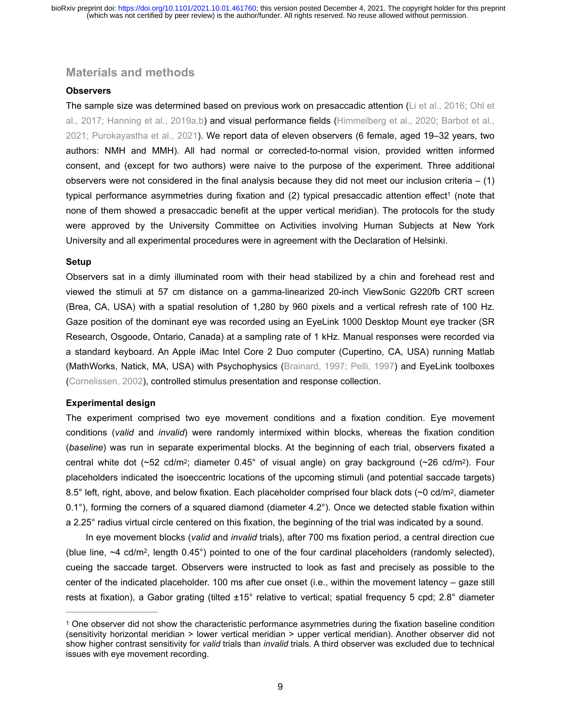# **Materials and methods**

#### **Observers**

The sample size was determined based on previous work on presaccadic attention (Li et al., 2016; Ohl et al., 2017; Hanning et al., 2019a,b) and visual performance fields (Himmelberg et al., 2020; Barbot et al., 2021; Purokayastha et al., 2021). We report data of eleven observers (6 female, aged 19–32 years, two authors: NMH and MMH). All had normal or corrected-to-normal vision, provided written informed consent, and (except for two authors) were naive to the purpose of the experiment. Three additional observers were not considered in the final analysis because they did not meet our inclusion criteria  $- (1)$ [t](#page-8-0)ypical performance asymmetries during fixation and (2) typical presaccadic attention effect<sup>[1](#page-8-0)</sup> (note that none of them showed a presaccadic benefit at the upper vertical meridian). The protocols for the study were approved by the University Committee on Activities involving Human Subjects at New York University and all experimental procedures were in agreement with the Declaration of Helsinki.

### <span id="page-8-1"></span>**Setup**

Observers sat in a dimly illuminated room with their head stabilized by a chin and forehead rest and viewed the stimuli at 57 cm distance on a gamma-linearized 20-inch ViewSonic G220fb CRT screen (Brea, CA, USA) with a spatial resolution of 1,280 by 960 pixels and a vertical refresh rate of 100 Hz. Gaze position of the dominant eye was recorded using an EyeLink 1000 Desktop Mount eye tracker (SR Research, Osgoode, Ontario, Canada) at a sampling rate of 1 kHz. Manual responses were recorded via a standard keyboard. An Apple iMac Intel Core 2 Duo computer (Cupertino, CA, USA) running Matlab (MathWorks, Natick, MA, USA) with Psychophysics (Brainard, 1997; Pelli, 1997) and EyeLink toolboxes (Cornelissen, 2002), controlled stimulus presentation and response collection.

#### **Experimental design**

The experiment comprised two eye movement conditions and a fixation condition. Eye movement conditions (*valid* and *invalid*) were randomly intermixed within blocks, whereas the fixation condition (*baseline*) was run in separate experimental blocks. At the beginning of each trial, observers fixated a central white dot (~52 cd/m2; diameter 0.45° of visual angle) on gray background (~26 cd/m2). Four placeholders indicated the isoeccentric locations of the upcoming stimuli (and potential saccade targets) 8.5° left, right, above, and below fixation. Each placeholder comprised four black dots (~0 cd/m<sup>2</sup>, diameter 0.1°), forming the corners of a squared diamond (diameter 4.2°). Once we detected stable fixation within a 2.25° radius virtual circle centered on this fixation, the beginning of the trial was indicated by a sound.

In eye movement blocks (*valid* and *invalid* trials), after 700 ms fixation period, a central direction cue (blue line, ~4 cd/m2, length 0.45°) pointed to one of the four cardinal placeholders (randomly selected), cueing the saccade target. Observers were instructed to look as fast and precisely as possible to the center of the indicated placeholder. 100 ms after cue onset (i.e., within the movement latency – gaze still rests at fixation), a Gabor grating (tilted ±15° relative to vertical; spatial frequency 5 cpd; 2.8° diameter

<span id="page-8-0"></span>One observer did not show the characteristic performance asymmetries during the fixation baseline condition [1](#page-8-1) (sensitivity horizontal meridian > lower vertical meridian > upper vertical meridian). Another observer did not show higher contrast sensitivity for *valid* trials than *invalid* trials. A third observer was excluded due to technical issues with eye movement recording.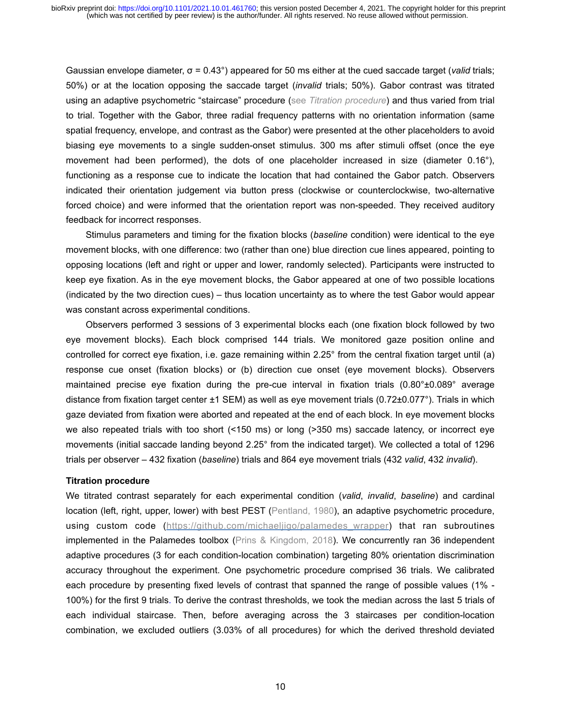Gaussian envelope diameter, σ = 0.43°) appeared for 50 ms either at the cued saccade target (*valid* trials; 50%) or at the location opposing the saccade target (*invalid* trials; 50%). Gabor contrast was titrated using an adaptive psychometric "staircase" procedure (see *Titration procedure*) and thus varied from trial to trial. Together with the Gabor, three radial frequency patterns with no orientation information (same spatial frequency, envelope, and contrast as the Gabor) were presented at the other placeholders to avoid biasing eye movements to a single sudden-onset stimulus. 300 ms after stimuli offset (once the eye movement had been performed), the dots of one placeholder increased in size (diameter 0.16°), functioning as a response cue to indicate the location that had contained the Gabor patch. Observers indicated their orientation judgement via button press (clockwise or counterclockwise, two-alternative forced choice) and were informed that the orientation report was non-speeded. They received auditory feedback for incorrect responses.

Stimulus parameters and timing for the fixation blocks (*baseline* condition) were identical to the eye movement blocks, with one difference: two (rather than one) blue direction cue lines appeared, pointing to opposing locations (left and right or upper and lower, randomly selected). Participants were instructed to keep eye fixation. As in the eye movement blocks, the Gabor appeared at one of two possible locations (indicated by the two direction cues) – thus location uncertainty as to where the test Gabor would appear was constant across experimental conditions.

Observers performed 3 sessions of 3 experimental blocks each (one fixation block followed by two eye movement blocks). Each block comprised 144 trials. We monitored gaze position online and controlled for correct eye fixation, i.e. gaze remaining within 2.25° from the central fixation target until (a) response cue onset (fixation blocks) or (b) direction cue onset (eye movement blocks). Observers maintained precise eye fixation during the pre-cue interval in fixation trials (0.80°±0.089° average distance from fixation target center ±1 SEM) as well as eye movement trials (0.72±0.077°). Trials in which gaze deviated from fixation were aborted and repeated at the end of each block. In eye movement blocks we also repeated trials with too short (<150 ms) or long (>350 ms) saccade latency, or incorrect eye movements (initial saccade landing beyond 2.25° from the indicated target). We collected a total of 1296 trials per observer – 432 fixation (*baseline*) trials and 864 eye movement trials (432 *valid*, 432 *invalid*).

#### **Titration procedure**

We titrated contrast separately for each experimental condition (*valid*, *invalid*, *baseline*) and cardinal location (left, right, upper, lower) with best PEST (Pentland, 1980), an adaptive psychometric procedure, using custom code (https://github.com/michaeljigo/palamedes wrapper) that ran subroutines implemented in the Palamedes toolbox (Prins & Kingdom, 2018). We concurrently ran 36 independent adaptive procedures (3 for each condition-location combination) targeting 80% orientation discrimination accuracy throughout the experiment. One psychometric procedure comprised 36 trials. We calibrated each procedure by presenting fixed levels of contrast that spanned the range of possible values (1% - 100%) for the first 9 trials. To derive the contrast thresholds, we took the median across the last 5 trials of each individual staircase. Then, before averaging across the 3 staircases per condition-location combination, we excluded outliers (3.03% of all procedures) for which the derived threshold deviated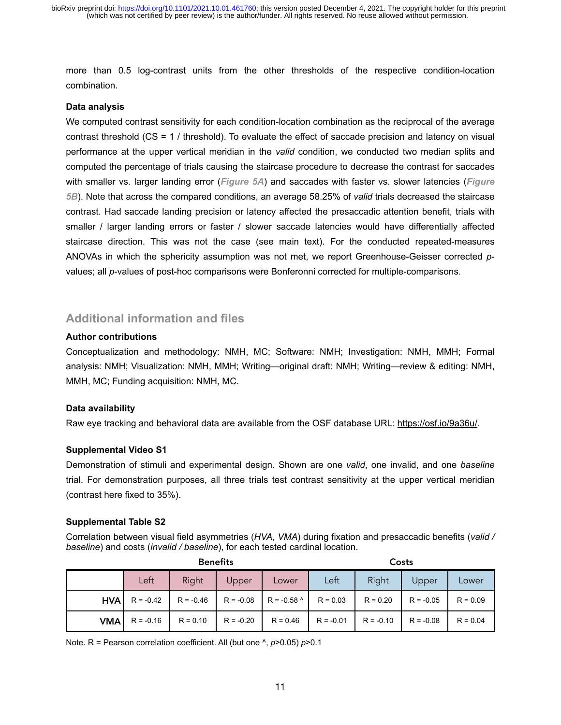more than 0.5 log-contrast units from the other thresholds of the respective condition-location combination.

#### **Data analysis**

We computed contrast sensitivity for each condition-location combination as the reciprocal of the average contrast threshold (CS = 1 / threshold). To evaluate the effect of saccade precision and latency on visual performance at the upper vertical meridian in the *valid* condition, we conducted two median splits and computed the percentage of trials causing the staircase procedure to decrease the contrast for saccades with smaller vs. larger landing error (*Figure 5A*) and saccades with faster vs. slower latencies (*Figure 5B*). Note that across the compared conditions, an average 58.25% of *valid* trials decreased the staircase contrast. Had saccade landing precision or latency affected the presaccadic attention benefit, trials with smaller / larger landing errors or faster / slower saccade latencies would have differentially affected staircase direction. This was not the case (see main text). For the conducted repeated-measures ANOVAs in which the sphericity assumption was not met, we report Greenhouse-Geisser corrected *p*values; all *p*-values of post-hoc comparisons were Bonferonni corrected for multiple-comparisons.

# **Additional information and files**

# **Author contributions**

Conceptualization and methodology: NMH, MC; Software: NMH; Investigation: NMH, MMH; Formal analysis: NMH; Visualization: NMH, MMH; Writing—original draft: NMH; Writing—review & editing: NMH, MMH, MC; Funding acquisition: NMH, MC.

# **Data availability**

Raw eye tracking and behavioral data are available from the OSF database URL[: https://osf.io/9a36u/](https://osf.io/9a36u/).

# **Supplemental Video S1**

Demonstration of stimuli and experimental design. Shown are one *valid*, one invalid, and one *baseline* trial. For demonstration purposes, all three trials test contrast sensitivity at the upper vertical meridian (contrast here fixed to 35%).

# **Supplemental Table S2**

Correlation between visual field asymmetries (*HVA*, *VMA*) during fixation and presaccadic benefits (*valid / baseline*) and costs (*invalid / baseline*), for each tested cardinal location.

|             | <b>Benefits</b> |             |             |               | Costs       |             |             |            |
|-------------|-----------------|-------------|-------------|---------------|-------------|-------------|-------------|------------|
|             | Left            | Right       | Upper       | Lower         | Left        | Right       | Upper       | Lower      |
| <b>HVAI</b> | $R = -0.42$     | $R = -0.46$ | $R = -0.08$ | $R = -0.58$ ^ | $R = 0.03$  | $R = 0.20$  | $R = -0.05$ | $R = 0.09$ |
| <b>VMA</b>  | $R = -0.16$     | $R = 0.10$  | $R = -0.20$ | $R = 0.46$    | $R = -0.01$ | $R = -0.10$ | $R = -0.08$ | $R = 0.04$ |

Note. R = Pearson correlation coefficient. All (but one ^, *p*>0.05) *p*>0.1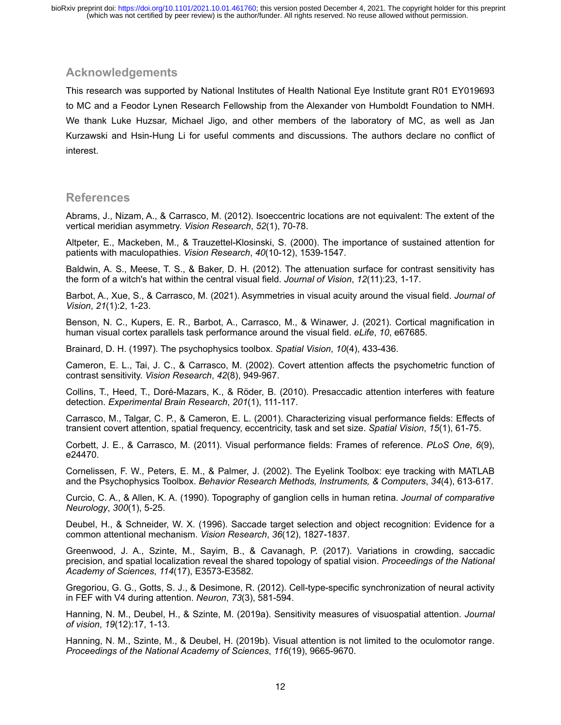# **Acknowledgements**

This research was supported by National Institutes of Health National Eye Institute grant R01 EY019693 to MC and a Feodor Lynen Research Fellowship from the Alexander von Humboldt Foundation to NMH. We thank Luke Huzsar, Michael Jigo, and other members of the laboratory of MC, as well as Jan Kurzawski and Hsin-Hung Li for useful comments and discussions. The authors declare no conflict of interest.

# **References**

Abrams, J., Nizam, A., & Carrasco, M. (2012). Isoeccentric locations are not equivalent: The extent of the vertical meridian asymmetry. *Vision Research*, *52*(1), 70-78.

Altpeter, E., Mackeben, M., & Trauzettel-Klosinski, S. (2000). The importance of sustained attention for patients with maculopathies. *Vision Research*, *40*(10-12), 1539-1547.

Baldwin, A. S., Meese, T. S., & Baker, D. H. (2012). The attenuation surface for contrast sensitivity has the form of a witch's hat within the central visual field. *Journal of Vision*, *12*(11):23, 1-17.

Barbot, A., Xue, S., & Carrasco, M. (2021). Asymmetries in visual acuity around the visual field. *Journal of Vision*, *21*(1):2, 1-23.

Benson, N. C., Kupers, E. R., Barbot, A., Carrasco, M., & Winawer, J. (2021). Cortical magnification in human visual cortex parallels task performance around the visual field. *eLife*, *10*, e67685.

Brainard, D. H. (1997). The psychophysics toolbox. *Spatial Vision*, *10*(4), 433-436.

Cameron, E. L., Tai, J. C., & Carrasco, M. (2002). Covert attention affects the psychometric function of contrast sensitivity. *Vision Research*, *42*(8), 949-967.

Collins, T., Heed, T., Doré-Mazars, K., & Röder, B. (2010). Presaccadic attention interferes with feature detection. *Experimental Brain Research*, *201*(1), 111-117.

Carrasco, M., Talgar, C. P., & Cameron, E. L. (2001). Characterizing visual performance fields: Effects of transient covert attention, spatial frequency, eccentricity, task and set size. *Spatial Vision*, *15*(1), 61-75.

Corbett, J. E., & Carrasco, M. (2011). Visual performance fields: Frames of reference. *PLoS One*, *6*(9), e24470.

Cornelissen, F. W., Peters, E. M., & Palmer, J. (2002). The Eyelink Toolbox: eye tracking with MATLAB and the Psychophysics Toolbox. *Behavior Research Methods, Instruments, & Computers*, *34*(4), 613-617.

Curcio, C. A., & Allen, K. A. (1990). Topography of ganglion cells in human retina. *Journal of comparative Neurology*, *300*(1), 5-25.

Deubel, H., & Schneider, W. X. (1996). Saccade target selection and object recognition: Evidence for a common attentional mechanism. *Vision Research*, *36*(12), 1827-1837.

Greenwood, J. A., Szinte, M., Sayim, B., & Cavanagh, P. (2017). Variations in crowding, saccadic precision, and spatial localization reveal the shared topology of spatial vision. *Proceedings of the National Academy of Sciences*, *114*(17), E3573-E3582.

Gregoriou, G. G., Gotts, S. J., & Desimone, R. (2012). Cell-type-specific synchronization of neural activity in FEF with V4 during attention. *Neuron*, *73*(3), 581-594.

Hanning, N. M., Deubel, H., & Szinte, M. (2019a). Sensitivity measures of visuospatial attention. *Journal of vision*, *19*(12):17, 1-13.

Hanning, N. M., Szinte, M., & Deubel, H. (2019b). Visual attention is not limited to the oculomotor range. *Proceedings of the National Academy of Sciences*, *116*(19), 9665-9670.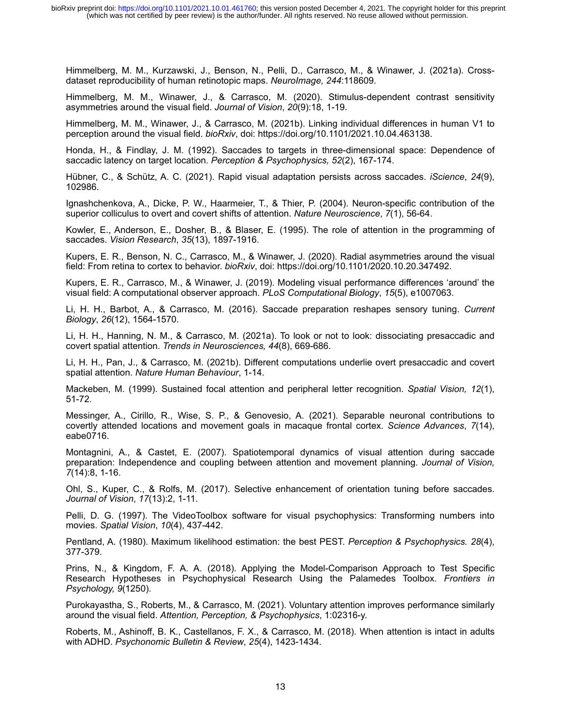Himmelberg, M. M., Kurzawski, J., Benson, N., Pelli, D., Carrasco, M., & Winawer, J. (2021a). Crossdataset reproducibility of human retinotopic maps. *NeuroImage, 244*:118609.

Himmelberg, M. M., Winawer, J., & Carrasco, M. (2020). Stimulus-dependent contrast sensitivity asymmetries around the visual field. *Journal of Vision*, *20*(9):18, 1-19.

Himmelberg, M. M., Winawer, J., & Carrasco, M. (2021b). Linking individual differences in human V1 to perception around the visual field. *bioRxiv*, doi: <https://doi.org/10.1101/2021.10.04.463138>.

Honda, H., & Findlay, J. M. (1992). Saccades to targets in three-dimensional space: Dependence of saccadic latency on target location. *Perception & Psychophysics, 52*(2), 167-174.

Hübner, C., & Schütz, A. C. (2021). Rapid visual adaptation persists across saccades. *iScience*, *24*(9), 102986.

Ignashchenkova, A., Dicke, P. W., Haarmeier, T., & Thier, P. (2004). Neuron-specific contribution of the superior colliculus to overt and covert shifts of attention. *Nature Neuroscience*, *7*(1), 56-64.

Kowler, E., Anderson, E., Dosher, B., & Blaser, E. (1995). The role of attention in the programming of saccades. *Vision Research*, *35*(13), 1897-1916.

Kupers, E. R., Benson, N. C., Carrasco, M., & Winawer, J. (2020). Radial asymmetries around the visual field: From retina to cortex to behavior. *bioRxiv*, doi: https://doi.org/10.1101/2020.10.20.347492.

Kupers, E. R., Carrasco, M., & Winawer, J. (2019). Modeling visual performance differences 'around' the visual field: A computational observer approach. *PLoS Computational Biology*, *15*(5), e1007063.

Li, H. H., Barbot, A., & Carrasco, M. (2016). Saccade preparation reshapes sensory tuning. *Current Biology*, *26*(12), 1564-1570.

Li, H. H., Hanning, N. M., & Carrasco, M. (2021a). To look or not to look: dissociating presaccadic and covert spatial attention. *Trends in Neurosciences, 44*(8), 669-686.

Li, H. H., Pan, J., & Carrasco, M. (2021b). Different computations underlie overt presaccadic and covert spatial attention. *Nature Human Behaviour*, 1-14.

Mackeben, M. (1999). Sustained focal attention and peripheral letter recognition. *Spatial Vision, 12*(1), 51-72.

Messinger, A., Cirillo, R., Wise, S. P., & Genovesio, A. (2021). Separable neuronal contributions to covertly attended locations and movement goals in macaque frontal cortex. *Science Advances*, *7*(14), eabe0716.

Montagnini, A., & Castet, E. (2007). Spatiotemporal dynamics of visual attention during saccade preparation: Independence and coupling between attention and movement planning. *Journal of Vision, 7*(14):8, 1-16.

Ohl, S., Kuper, C., & Rolfs, M. (2017). Selective enhancement of orientation tuning before saccades. *Journal of Vision*, *17*(13):2, 1-11.

Pelli, D. G. (1997). The VideoToolbox software for visual psychophysics: Transforming numbers into movies. *Spatial Vision*, *10*(4), 437-442.

Pentland, A. (1980). Maximum likelihood estimation: the best PEST. *Perception & Psychophysics. 28*(4), 377-379.

Prins, N., & Kingdom, F. A. A. (2018). Applying the Model-Comparison Approach to Test Specific Research Hypotheses in Psychophysical Research Using the Palamedes Toolbox. *Frontiers in Psychology, 9*(1250).

Purokayastha, S., Roberts, M., & Carrasco, M. (2021). Voluntary attention improves performance similarly around the visual field. *Attention, Perception, & Psychophysics*, 1:02316-y.

Roberts, M., Ashinoff, B. K., Castellanos, F. X., & Carrasco, M. (2018). When attention is intact in adults with ADHD. *Psychonomic Bulletin & Review*, *25*(4), 1423-1434.